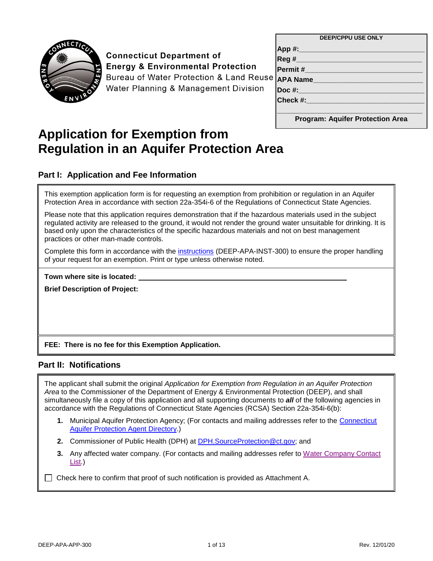

# **Connecticut Department of Energy & Environmental Protection**

**Bureau of Water Protection & Land Reuse** Water Planning & Management Division

| <b>DEEP/CPPU USE ONLY</b>               |
|-----------------------------------------|
| App #:___                               |
| Reg #                                   |
| Permit#                                 |
| <b>APA Name</b>                         |
| Doc #:____                              |
| Check #:                                |
|                                         |
| <b>Program: Aquifer Protection Area</b> |

# **Application for Exemption from Regulation in an Aquifer Protection Area**

#### **Part I: Application and Fee Information**

This exemption application form is for requesting an exemption from prohibition or regulation in an Aquifer Protection Area in accordance with section 22a-354i-6 of the Regulations of Connecticut State Agencies.

Please note that this application requires demonstration that if the hazardous materials used in the subject regulated activity are released to the ground, it would not render the ground water unsuitable for drinking. It is based only upon the characteristics of the specific hazardous materials and not on best management practices or other man-made controls.

Complete this form in accordance with the [instructions](https://portal.ct.gov/-/media/DEEP/Permits_and_Licenses/Land_Use_Permits/Aquifer_Protection_Permits/APAexemptinst.pdf) (DEEP-APA-INST-300) to ensure the proper handling of your request for an exemption. Print or type unless otherwise noted.

**Town where site is located:** 

**Brief Description of Project:** 

**FEE: There is no fee for this Exemption Application.**

#### **Part II: Notifications**

The applicant shall submit the original *Application for Exemption from Regulation in an Aquifer Protection Area* to the Commissioner of the Department of Energy & Environmental Protection (DEEP), and shall simultaneously file a copy of this application and all supporting documents to *all* of the following agencies in accordance with the Regulations of Connecticut State Agencies (RCSA) Section 22a-354i-6(b):

- **1.** Municipal Aquifer Protection Agency; (For contacts and mailing addresses refer to the [Connecticut](https://portal.ct.gov/-/media/DEEP/aquifer_protection/AP-Agency-Directory-10_5_2020.pdf)  [Aquifer Protection](https://portal.ct.gov/-/media/DEEP/aquifer_protection/AP-Agency-Directory-10_5_2020.pdf) Agent Directory.)
- **2.** Commissioner of Public Health (DPH) at [DPH.SourceProtection@ct.gov;](mailto:DPH.SourceProtection@ct.gov) and
- **3.** Any affected water company. (For contacts and mailing addresses refer to [Water Company Contact](https://portal.ct.gov/-/media/DEEP/aquifer_protection/wtrcocontactlistpdf.pdf)  [List.](https://portal.ct.gov/-/media/DEEP/aquifer_protection/wtrcocontactlistpdf.pdf))

 $\Box$  Check here to confirm that proof of such notification is provided as Attachment A.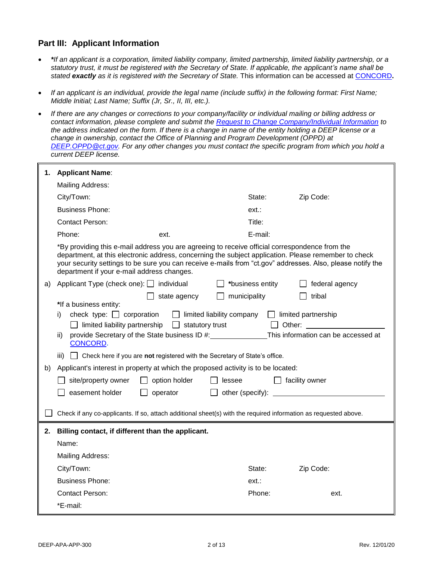#### **Part III: Applicant Information**

- *\*If an applicant is a corporation, limited liability company, limited partnership, limited liability partnership, or a statutory trust, it must be registered with the Secretary of State. If applicable, the applicant's name shall be stated exactly as it is registered with the Secretary of State.* This information can be accessed at [CONCORD](https://www.concord-sots.ct.gov/CONCORD/)**.**
- *If an applicant is an individual, provide the legal name (include suffix) in the following format: First Name; Middle Initial; Last Name; Suffix (Jr, Sr., II, III, etc.).*
- *If there are any changes or corrections to your company/facility or individual mailing or billing address or contact information, please complete and submit the [Request to Change Company/Individual Information](https://portal.ct.gov/-/media/DEEP/permits_and_licenses/common_forms/infochangeCPPUdoc.doc) to the address indicated on the form. If there is a change in name of the entity holding a DEEP license or a change in ownership, contact the Office of Planning and Program Development (OPPD) at [DEEP.OPPD@ct.gov.](mailto:DEEP.OPPD@ct.gov) For any other changes you must contact the specific program from which you hold a current DEEP license.*

| 1. | <b>Applicant Name:</b>                                                                                                                                                                                                                                                                                                                                                                                                                                                                                        |                  |                                                                                                                                                                                                                                                                                                                                 |
|----|---------------------------------------------------------------------------------------------------------------------------------------------------------------------------------------------------------------------------------------------------------------------------------------------------------------------------------------------------------------------------------------------------------------------------------------------------------------------------------------------------------------|------------------|---------------------------------------------------------------------------------------------------------------------------------------------------------------------------------------------------------------------------------------------------------------------------------------------------------------------------------|
|    | Mailing Address:                                                                                                                                                                                                                                                                                                                                                                                                                                                                                              |                  |                                                                                                                                                                                                                                                                                                                                 |
|    | City/Town:                                                                                                                                                                                                                                                                                                                                                                                                                                                                                                    | State:           | Zip Code:                                                                                                                                                                                                                                                                                                                       |
|    | <b>Business Phone:</b>                                                                                                                                                                                                                                                                                                                                                                                                                                                                                        | ext:             |                                                                                                                                                                                                                                                                                                                                 |
|    | <b>Contact Person:</b>                                                                                                                                                                                                                                                                                                                                                                                                                                                                                        | Title:           |                                                                                                                                                                                                                                                                                                                                 |
|    | Phone:<br>ext.                                                                                                                                                                                                                                                                                                                                                                                                                                                                                                | E-mail:          |                                                                                                                                                                                                                                                                                                                                 |
|    | *By providing this e-mail address you are agreeing to receive official correspondence from the<br>department, at this electronic address, concerning the subject application. Please remember to check<br>your security settings to be sure you can receive e-mails from "ct.gov" addresses. Also, please notify the<br>department if your e-mail address changes.                                                                                                                                            |                  |                                                                                                                                                                                                                                                                                                                                 |
| a) | Applicant Type (check one): individual                                                                                                                                                                                                                                                                                                                                                                                                                                                                        | *business entity | federal agency                                                                                                                                                                                                                                                                                                                  |
| b) | state agency<br>*If a business entity:<br>check type: $\Box$ corporation<br>$\Box$ limited liability company<br>i)<br>limited liability partnership<br>$\Box$ statutory trust<br>provide Secretary of the State business ID #:<br>ii)<br>CONCORD.<br>Check here if you are not registered with the Secretary of State's office.<br>iii)<br>Applicant's interest in property at which the proposed activity is to be located:<br>site/property owner<br>option holder<br>lessee<br>easement holder<br>operator | municipality     | tribal<br>$\Box$ limited partnership<br>Other: and the state of the state of the state of the state of the state of the state of the state of the state of the state of the state of the state of the state of the state of the state of the state of the state of the<br>This information can be accessed at<br>facility owner |
|    | Check if any co-applicants. If so, attach additional sheet(s) with the required information as requested above.                                                                                                                                                                                                                                                                                                                                                                                               |                  |                                                                                                                                                                                                                                                                                                                                 |
| 2. | Billing contact, if different than the applicant.                                                                                                                                                                                                                                                                                                                                                                                                                                                             |                  |                                                                                                                                                                                                                                                                                                                                 |
|    | Name:                                                                                                                                                                                                                                                                                                                                                                                                                                                                                                         |                  |                                                                                                                                                                                                                                                                                                                                 |
|    | <b>Mailing Address:</b>                                                                                                                                                                                                                                                                                                                                                                                                                                                                                       |                  |                                                                                                                                                                                                                                                                                                                                 |
|    | City/Town:                                                                                                                                                                                                                                                                                                                                                                                                                                                                                                    | State:           | Zip Code:                                                                                                                                                                                                                                                                                                                       |
|    | <b>Business Phone:</b>                                                                                                                                                                                                                                                                                                                                                                                                                                                                                        | ext.:            |                                                                                                                                                                                                                                                                                                                                 |
|    | <b>Contact Person:</b>                                                                                                                                                                                                                                                                                                                                                                                                                                                                                        | Phone:           | ext.                                                                                                                                                                                                                                                                                                                            |
|    | *E-mail:                                                                                                                                                                                                                                                                                                                                                                                                                                                                                                      |                  |                                                                                                                                                                                                                                                                                                                                 |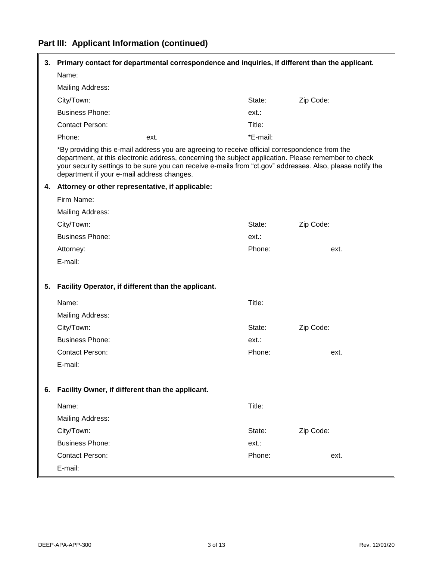# **Part III: Applicant Information (continued)**

| 3. | Primary contact for departmental correspondence and inquiries, if different than the applicant. |                                                                                                                                                                                                        |          |                                                                                                            |
|----|-------------------------------------------------------------------------------------------------|--------------------------------------------------------------------------------------------------------------------------------------------------------------------------------------------------------|----------|------------------------------------------------------------------------------------------------------------|
|    | Name:                                                                                           |                                                                                                                                                                                                        |          |                                                                                                            |
|    | <b>Mailing Address:</b>                                                                         |                                                                                                                                                                                                        |          |                                                                                                            |
|    | City/Town:                                                                                      |                                                                                                                                                                                                        | State:   | Zip Code:                                                                                                  |
|    | <b>Business Phone:</b>                                                                          |                                                                                                                                                                                                        | ext.:    |                                                                                                            |
|    | <b>Contact Person:</b>                                                                          |                                                                                                                                                                                                        | Title:   |                                                                                                            |
|    | Phone:                                                                                          | ext.                                                                                                                                                                                                   | *E-mail: |                                                                                                            |
|    | department if your e-mail address changes.                                                      | *By providing this e-mail address you are agreeing to receive official correspondence from the<br>department, at this electronic address, concerning the subject application. Please remember to check |          | your security settings to be sure you can receive e-mails from "ct.gov" addresses. Also, please notify the |
| 4. | Attorney or other representative, if applicable:                                                |                                                                                                                                                                                                        |          |                                                                                                            |
|    | Firm Name:                                                                                      |                                                                                                                                                                                                        |          |                                                                                                            |
|    | <b>Mailing Address:</b>                                                                         |                                                                                                                                                                                                        |          |                                                                                                            |
|    | City/Town:                                                                                      |                                                                                                                                                                                                        | State:   | Zip Code:                                                                                                  |
|    | <b>Business Phone:</b>                                                                          |                                                                                                                                                                                                        | ext.:    |                                                                                                            |
|    | Attorney:                                                                                       |                                                                                                                                                                                                        | Phone:   | ext.                                                                                                       |
|    | E-mail:                                                                                         |                                                                                                                                                                                                        |          |                                                                                                            |
| 5. | Facility Operator, if different than the applicant.                                             |                                                                                                                                                                                                        |          |                                                                                                            |
|    | Name:                                                                                           |                                                                                                                                                                                                        | Title:   |                                                                                                            |
|    | <b>Mailing Address:</b>                                                                         |                                                                                                                                                                                                        |          |                                                                                                            |
|    | City/Town:                                                                                      |                                                                                                                                                                                                        | State:   | Zip Code:                                                                                                  |
|    | <b>Business Phone:</b>                                                                          |                                                                                                                                                                                                        | ext.:    |                                                                                                            |
|    | <b>Contact Person:</b>                                                                          |                                                                                                                                                                                                        | Phone:   | ext.                                                                                                       |
|    | E-mail:                                                                                         |                                                                                                                                                                                                        |          |                                                                                                            |
|    |                                                                                                 |                                                                                                                                                                                                        |          |                                                                                                            |
| 6. | Facility Owner, if different than the applicant.                                                |                                                                                                                                                                                                        |          |                                                                                                            |
|    | Name:                                                                                           |                                                                                                                                                                                                        | Title:   |                                                                                                            |
|    | <b>Mailing Address:</b>                                                                         |                                                                                                                                                                                                        |          |                                                                                                            |
|    | City/Town:                                                                                      |                                                                                                                                                                                                        | State:   | Zip Code:                                                                                                  |
|    | <b>Business Phone:</b>                                                                          |                                                                                                                                                                                                        | ext.:    |                                                                                                            |
|    | <b>Contact Person:</b>                                                                          |                                                                                                                                                                                                        | Phone:   | ext.                                                                                                       |
|    | E-mail:                                                                                         |                                                                                                                                                                                                        |          |                                                                                                            |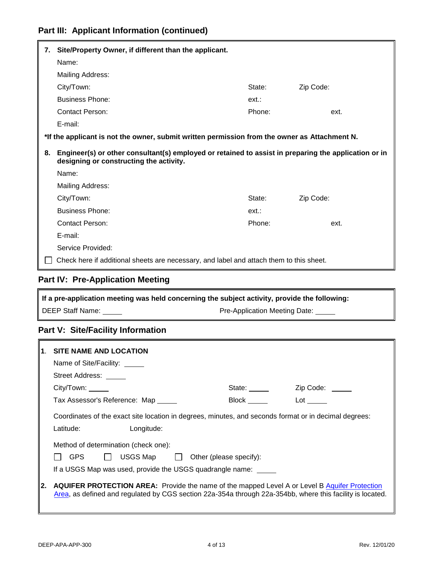# **Part III: Applicant Information (continued)**

| 7. | Site/Property Owner, if different than the applicant.                                                                                           |        |           |
|----|-------------------------------------------------------------------------------------------------------------------------------------------------|--------|-----------|
|    | Name:                                                                                                                                           |        |           |
|    | Mailing Address:                                                                                                                                |        |           |
|    | City/Town:                                                                                                                                      | State: | Zip Code: |
|    | <b>Business Phone:</b>                                                                                                                          | ext:   |           |
|    | <b>Contact Person:</b>                                                                                                                          | Phone: | ext.      |
|    | E-mail:                                                                                                                                         |        |           |
|    | *If the applicant is not the owner, submit written permission from the owner as Attachment N.                                                   |        |           |
| 8. | Engineer(s) or other consultant(s) employed or retained to assist in preparing the application or in<br>designing or constructing the activity. |        |           |
|    | Name:                                                                                                                                           |        |           |
|    | <b>Mailing Address:</b>                                                                                                                         |        |           |
|    | City/Town:                                                                                                                                      | State: | Zip Code: |
|    | <b>Business Phone:</b>                                                                                                                          | ext.:  |           |
|    | <b>Contact Person:</b>                                                                                                                          | Phone: | ext.      |
|    | E-mail:                                                                                                                                         |        |           |
|    | Service Provided:                                                                                                                               |        |           |
|    | Check here if additional sheets are necessary, and label and attach them to this sheet.                                                         |        |           |

### **Part IV: Pre-Application Meeting**

| If a pre-application meeting was held concerning the subject activity, provide the following: |                               |
|-----------------------------------------------------------------------------------------------|-------------------------------|
| l DEEP Staff Name:                                                                            | Pre-Application Meeting Date: |

#### **Part V: Site/Facility Information**

| $\mathbf 1$ . | <b>SITE NAME AND LOCATION</b>                                                                                                                                                                                                                       |              |                        |
|---------------|-----------------------------------------------------------------------------------------------------------------------------------------------------------------------------------------------------------------------------------------------------|--------------|------------------------|
|               | Name of Site/Facility: ______                                                                                                                                                                                                                       |              |                        |
|               | Street Address: _____                                                                                                                                                                                                                               |              |                        |
|               | City/ Town:                                                                                                                                                                                                                                         | State: _____ | Zip Code: <u>_____</u> |
|               | Tax Assessor's Reference: Map                                                                                                                                                                                                                       | <b>Block</b> | Lot                    |
|               | Coordinates of the exact site location in degrees, minutes, and seconds format or in decimal degrees:<br>Longitude:<br>Latitude:<br>Method of determination (check one):<br><b>GPS</b><br>$USGS$ Map $\Box$ Other (please specify):<br>$\mathbf{1}$ |              |                        |
|               | If a USGS Map was used, provide the USGS quadrangle name:                                                                                                                                                                                           |              |                        |
| 2.            | <b>AQUIFER PROTECTION AREA:</b> Provide the name of the mapped Level A or Level B Aquifer Protection<br>Area, as defined and regulated by CGS section 22a-354a through 22a-354bb, where this facility is located.                                   |              |                        |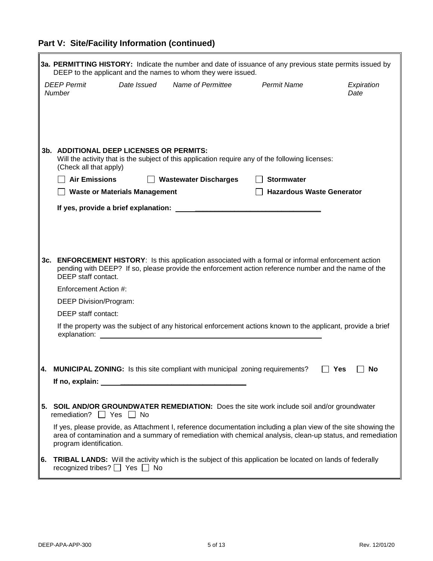# **Part V: Site/Facility Information (continued)**

r.

|     |                                                                           |             | DEEP to the applicant and the names to whom they were issued.                                                                                                                                                   |                                  | 3a. PERMITTING HISTORY: Indicate the number and date of issuance of any previous state permits issued by                                                                                                                      |
|-----|---------------------------------------------------------------------------|-------------|-----------------------------------------------------------------------------------------------------------------------------------------------------------------------------------------------------------------|----------------------------------|-------------------------------------------------------------------------------------------------------------------------------------------------------------------------------------------------------------------------------|
|     | <b>DEEP Permit</b><br><b>Number</b>                                       | Date Issued | Name of Permittee                                                                                                                                                                                               | <b>Permit Name</b>               | Expiration<br>Date                                                                                                                                                                                                            |
|     |                                                                           |             |                                                                                                                                                                                                                 |                                  |                                                                                                                                                                                                                               |
|     |                                                                           |             |                                                                                                                                                                                                                 |                                  |                                                                                                                                                                                                                               |
|     |                                                                           |             |                                                                                                                                                                                                                 |                                  |                                                                                                                                                                                                                               |
|     | <b>3b. ADDITIONAL DEEP LICENSES OR PERMITS:</b><br>(Check all that apply) |             | Will the activity that is the subject of this application require any of the following licenses:                                                                                                                |                                  |                                                                                                                                                                                                                               |
|     | <b>Air Emissions</b>                                                      |             | $\Box$ Wastewater Discharges                                                                                                                                                                                    | <b>Stormwater</b>                |                                                                                                                                                                                                                               |
|     | <b>Waste or Materials Management</b>                                      |             |                                                                                                                                                                                                                 | <b>Hazardous Waste Generator</b> |                                                                                                                                                                                                                               |
|     |                                                                           |             |                                                                                                                                                                                                                 |                                  |                                                                                                                                                                                                                               |
|     |                                                                           |             |                                                                                                                                                                                                                 |                                  |                                                                                                                                                                                                                               |
|     |                                                                           |             |                                                                                                                                                                                                                 |                                  |                                                                                                                                                                                                                               |
|     |                                                                           |             |                                                                                                                                                                                                                 |                                  |                                                                                                                                                                                                                               |
| 3c. | DEEP staff contact.                                                       |             | <b>ENFORCEMENT HISTORY:</b> Is this application associated with a formal or informal enforcement action<br>pending with DEEP? If so, please provide the enforcement action reference number and the name of the |                                  |                                                                                                                                                                                                                               |
|     | Enforcement Action #:                                                     |             |                                                                                                                                                                                                                 |                                  |                                                                                                                                                                                                                               |
|     | <b>DEEP Division/Program:</b>                                             |             |                                                                                                                                                                                                                 |                                  |                                                                                                                                                                                                                               |
|     | DEEP staff contact:                                                       |             |                                                                                                                                                                                                                 |                                  |                                                                                                                                                                                                                               |
|     |                                                                           |             | If the property was the subject of any historical enforcement actions known to the applicant, provide a brief                                                                                                   |                                  |                                                                                                                                                                                                                               |
|     |                                                                           |             |                                                                                                                                                                                                                 |                                  |                                                                                                                                                                                                                               |
| 4.  |                                                                           |             | <b>MUNICIPAL ZONING:</b> Is this site compliant with municipal zoning requirements?                                                                                                                             |                                  | Yes<br><b>No</b>                                                                                                                                                                                                              |
|     |                                                                           |             |                                                                                                                                                                                                                 |                                  |                                                                                                                                                                                                                               |
|     |                                                                           |             |                                                                                                                                                                                                                 |                                  |                                                                                                                                                                                                                               |
| 5.  | remediation? $\Box$ Yes $\Box$ No                                         |             | <b>SOIL AND/OR GROUNDWATER REMEDIATION:</b> Does the site work include soil and/or groundwater                                                                                                                  |                                  |                                                                                                                                                                                                                               |
|     | program identification.                                                   |             |                                                                                                                                                                                                                 |                                  | If yes, please provide, as Attachment I, reference documentation including a plan view of the site showing the<br>area of contamination and a summary of remediation with chemical analysis, clean-up status, and remediation |
| 6.  | recognized tribes? $\Box$ Yes $\Box$ No                                   |             | <b>TRIBAL LANDS:</b> Will the activity which is the subject of this application be located on lands of federally                                                                                                |                                  |                                                                                                                                                                                                                               |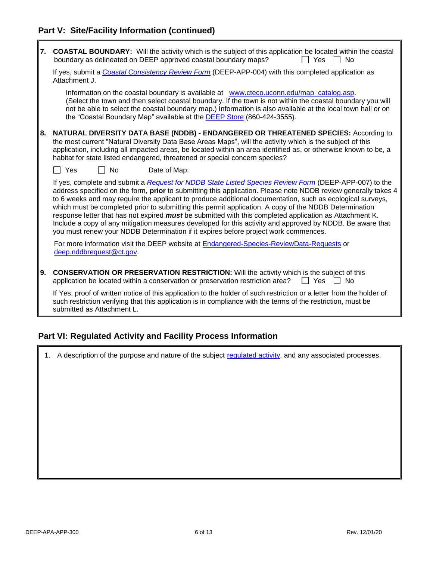#### **Part V: Site/Facility Information (continued)**

| 7. | <b>COASTAL BOUNDARY:</b> Will the activity which is the subject of this application be located within the coastal<br>boundary as delineated on DEEP approved coastal boundary maps?<br>Yes<br><b>No</b>                                                                                                                                                                                                                                                                                                                                                                                                                                                                                                                                                             |
|----|---------------------------------------------------------------------------------------------------------------------------------------------------------------------------------------------------------------------------------------------------------------------------------------------------------------------------------------------------------------------------------------------------------------------------------------------------------------------------------------------------------------------------------------------------------------------------------------------------------------------------------------------------------------------------------------------------------------------------------------------------------------------|
|    | If yes, submit a Coastal Consistency Review Form (DEEP-APP-004) with this completed application as<br>Attachment J.                                                                                                                                                                                                                                                                                                                                                                                                                                                                                                                                                                                                                                                 |
|    | Information on the coastal boundary is available at www.cteco.uconn.edu/map_catalog.asp.<br>(Select the town and then select coastal boundary. If the town is not within the coastal boundary you will<br>not be able to select the coastal boundary map.) Information is also available at the local town hall or on<br>the "Coastal Boundary Map" available at the DEEP Store (860-424-3555).                                                                                                                                                                                                                                                                                                                                                                     |
| 8. | NATURAL DIVERSITY DATA BASE (NDDB) - ENDANGERED OR THREATENED SPECIES: According to<br>the most current "Natural Diversity Data Base Areas Maps", will the activity which is the subject of this<br>application, including all impacted areas, be located within an area identified as, or otherwise known to be, a<br>habitat for state listed endangered, threatened or special concern species?                                                                                                                                                                                                                                                                                                                                                                  |
|    | $\Box$ No<br>∣ Yes<br>Date of Map:                                                                                                                                                                                                                                                                                                                                                                                                                                                                                                                                                                                                                                                                                                                                  |
|    | If yes, complete and submit a Request for NDDB State Listed Species Review Form (DEEP-APP-007) to the<br>address specified on the form, prior to submitting this application. Please note NDDB review generally takes 4<br>to 6 weeks and may require the applicant to produce additional documentation, such as ecological surveys,<br>which must be completed prior to submitting this permit application. A copy of the NDDB Determination<br>response letter that has not expired <i>must</i> be submitted with this completed application as Attachment K.<br>Include a copy of any mitigation measures developed for this activity and approved by NDDB. Be aware that<br>you must renew your NDDB Determination if it expires before project work commences. |
|    | For more information visit the DEEP website at <b>Endangered-Species-ReviewData-Requests</b> or<br>deep.nddbrequest@ct.gov.                                                                                                                                                                                                                                                                                                                                                                                                                                                                                                                                                                                                                                         |
| 9. | <b>CONSERVATION OR PRESERVATION RESTRICTION:</b> Will the activity which is the subject of this<br>application be located within a conservation or preservation restriction area?<br>∣ I Yes I I<br><b>No</b>                                                                                                                                                                                                                                                                                                                                                                                                                                                                                                                                                       |
|    | If Yes, proof of written notice of this application to the holder of such restriction or a letter from the holder of<br>such restriction verifying that this application is in compliance with the terms of the restriction, must be<br>submitted as Attachment L.                                                                                                                                                                                                                                                                                                                                                                                                                                                                                                  |

#### **Part VI: Regulated Activity and Facility Process Information**

1. A description of the purpose and nature of the subject [regulated activity,](https://eregulations.ct.gov/eRegsPortal/Browse/RCSA/Title_22aSubtitle_22a-354iSection_22a-354i-1/) and any associated processes.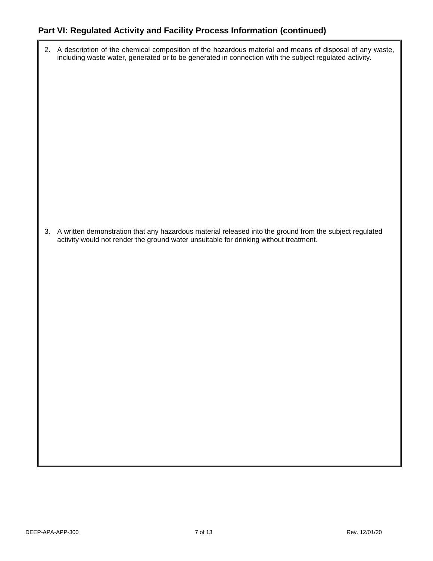#### **Part VI: Regulated Activity and Facility Process Information (continued)**

2. A description of the chemical composition of the hazardous material and means of disposal of any waste, including waste water, generated or to be generated in connection with the subject regulated activity.

3. A written demonstration that any hazardous material released into the ground from the subject regulated activity would not render the ground water unsuitable for drinking without treatment.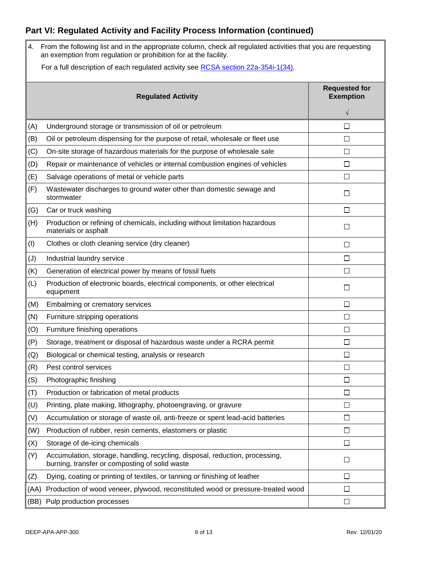# **Part VI: Regulated Activity and Facility Process Information (continued)**

| 4.   | From the following list and in the appropriate column, check all regulated activities that you are requesting<br>an exemption from regulation or prohibition for at the facility. |                                          |  |  |  |
|------|-----------------------------------------------------------------------------------------------------------------------------------------------------------------------------------|------------------------------------------|--|--|--|
|      | For a full description of each regulated activity see RCSA section 22a-354i-1(34).                                                                                                |                                          |  |  |  |
|      | <b>Regulated Activity</b>                                                                                                                                                         | <b>Requested for</b><br><b>Exemption</b> |  |  |  |
|      |                                                                                                                                                                                   | $\sqrt{}$                                |  |  |  |
| (A)  | Underground storage or transmission of oil or petroleum                                                                                                                           | П                                        |  |  |  |
| (B)  | Oil or petroleum dispensing for the purpose of retail, wholesale or fleet use                                                                                                     | □                                        |  |  |  |
| (C)  | On-site storage of hazardous materials for the purpose of wholesale sale                                                                                                          | $\Box$                                   |  |  |  |
| (D)  | Repair or maintenance of vehicles or internal combustion engines of vehicles                                                                                                      | $\Box$                                   |  |  |  |
| (E)  | Salvage operations of metal or vehicle parts                                                                                                                                      | П                                        |  |  |  |
| (F)  | Wastewater discharges to ground water other than domestic sewage and<br>stormwater                                                                                                | $\Box$                                   |  |  |  |
| (G)  | Car or truck washing                                                                                                                                                              | $\Box$                                   |  |  |  |
| (H)  | Production or refining of chemicals, including without limitation hazardous<br>materials or asphalt                                                                               | □                                        |  |  |  |
| (1)  | Clothes or cloth cleaning service (dry cleaner)                                                                                                                                   | $\Box$                                   |  |  |  |
| (J)  | Industrial laundry service                                                                                                                                                        | $\Box$                                   |  |  |  |
| (K)  | Generation of electrical power by means of fossil fuels                                                                                                                           | $\Box$                                   |  |  |  |
| (L)  | Production of electronic boards, electrical components, or other electrical<br>equipment                                                                                          | Ш                                        |  |  |  |
| (M)  | Embalming or crematory services                                                                                                                                                   | $\Box$                                   |  |  |  |
| (N)  | Furniture stripping operations                                                                                                                                                    | □                                        |  |  |  |
| (O)  | Furniture finishing operations                                                                                                                                                    | $\Box$                                   |  |  |  |
| (P)  | Storage, treatment or disposal of hazardous waste under a RCRA permit                                                                                                             | $\Box$                                   |  |  |  |
| (Q)  | Biological or chemical testing, analysis or research                                                                                                                              | □                                        |  |  |  |
| (R)  | Pest control services                                                                                                                                                             | $\Box$                                   |  |  |  |
| (S)  | Photographic finishing                                                                                                                                                            | $\Box$                                   |  |  |  |
| (T)  | Production or fabrication of metal products                                                                                                                                       | □                                        |  |  |  |
| (U)  | Printing, plate making, lithography, photoengraving, or gravure                                                                                                                   | $\Box$                                   |  |  |  |
| (V)  | Accumulation or storage of waste oil, anti-freeze or spent lead-acid batteries                                                                                                    | □                                        |  |  |  |
| (W)  | Production of rubber, resin cements, elastomers or plastic                                                                                                                        | $\Box$                                   |  |  |  |
| (X)  | Storage of de-icing chemicals                                                                                                                                                     | $\Box$                                   |  |  |  |
| (Y)  | Accumulation, storage, handling, recycling, disposal, reduction, processing,<br>burning, transfer or composting of solid waste                                                    | □                                        |  |  |  |
| (Z)  | Dying, coating or printing of textiles, or tanning or finishing of leather                                                                                                        | □                                        |  |  |  |
| (AA) | Production of wood veneer, plywood, reconstituted wood or pressure-treated wood                                                                                                   | □                                        |  |  |  |
| (BB) | Pulp production processes                                                                                                                                                         | $\Box$                                   |  |  |  |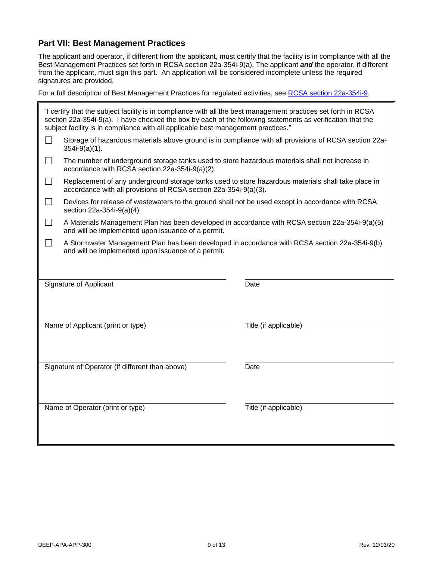#### **Part VII: Best Management Practices**

The applicant and operator, if different from the applicant, must certify that the facility is in compliance with all the Best Management Practices set forth in RCSA section 22a-354i-9(a). The applicant *and* the operator, if different from the applicant, must sign this part. An application will be considered incomplete unless the required signatures are provided.

For a full description of Best Management Practices for regulated activities, see [RCSA section 22a-354i-9.](https://eregulations.ct.gov/eRegsPortal/Browse/RCSA/Title_22aSubtitle_22a-354iSection_22a-354i-9/)

| "I certify that the subject facility is in compliance with all the best management practices set forth in RCSA<br>section 22a-354i-9(a). I have checked the box by each of the following statements as verification that the<br>subject facility is in compliance with all applicable best management practices." |                                                                                                                                                                        |                       |  |
|-------------------------------------------------------------------------------------------------------------------------------------------------------------------------------------------------------------------------------------------------------------------------------------------------------------------|------------------------------------------------------------------------------------------------------------------------------------------------------------------------|-----------------------|--|
|                                                                                                                                                                                                                                                                                                                   | Storage of hazardous materials above ground is in compliance with all provisions of RCSA section 22a-<br>$354i-9(a)(1)$ .                                              |                       |  |
| П                                                                                                                                                                                                                                                                                                                 | The number of underground storage tanks used to store hazardous materials shall not increase in<br>accordance with RCSA section 22a-354i-9(a)(2).                      |                       |  |
| П                                                                                                                                                                                                                                                                                                                 | Replacement of any underground storage tanks used to store hazardous materials shall take place in<br>accordance with all provisions of RCSA section 22a-354i-9(a)(3). |                       |  |
| $\Box$                                                                                                                                                                                                                                                                                                            | Devices for release of wastewaters to the ground shall not be used except in accordance with RCSA<br>section 22a-354i-9(a)(4).                                         |                       |  |
| $\Box$                                                                                                                                                                                                                                                                                                            | A Materials Management Plan has been developed in accordance with RCSA section 22a-354i-9(a)(5)<br>and will be implemented upon issuance of a permit.                  |                       |  |
| $\Box$                                                                                                                                                                                                                                                                                                            | A Stormwater Management Plan has been developed in accordance with RCSA section 22a-354i-9(b)<br>and will be implemented upon issuance of a permit.                    |                       |  |
|                                                                                                                                                                                                                                                                                                                   |                                                                                                                                                                        |                       |  |
|                                                                                                                                                                                                                                                                                                                   | Signature of Applicant                                                                                                                                                 | Date                  |  |
|                                                                                                                                                                                                                                                                                                                   |                                                                                                                                                                        |                       |  |
| Name of Applicant (print or type)                                                                                                                                                                                                                                                                                 |                                                                                                                                                                        | Title (if applicable) |  |
|                                                                                                                                                                                                                                                                                                                   |                                                                                                                                                                        |                       |  |
| Signature of Operator (if different than above)                                                                                                                                                                                                                                                                   |                                                                                                                                                                        | Date                  |  |
|                                                                                                                                                                                                                                                                                                                   |                                                                                                                                                                        |                       |  |
| Name of Operator (print or type)                                                                                                                                                                                                                                                                                  |                                                                                                                                                                        | Title (if applicable) |  |
|                                                                                                                                                                                                                                                                                                                   |                                                                                                                                                                        |                       |  |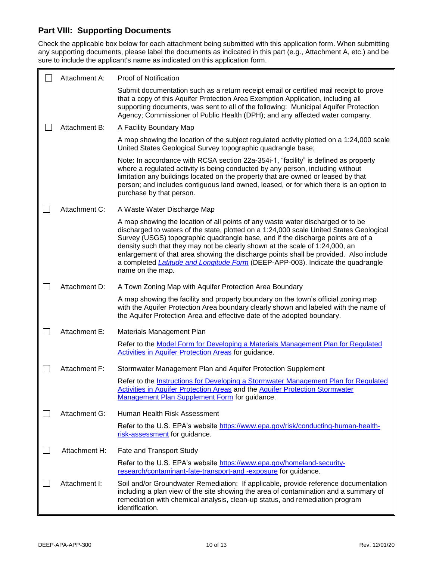#### **Part VIII: Supporting Documents**

Check the applicable box below for each attachment being submitted with this application form. When submitting any supporting documents, please label the documents as indicated in this part (e.g., Attachment A, etc.) and be sure to include the applicant's name as indicated on this application form.

|                             | Attachment A: | <b>Proof of Notification</b>                                                                                                                                                                                                                                                                                                                                                                                                                                                                                                                  |
|-----------------------------|---------------|-----------------------------------------------------------------------------------------------------------------------------------------------------------------------------------------------------------------------------------------------------------------------------------------------------------------------------------------------------------------------------------------------------------------------------------------------------------------------------------------------------------------------------------------------|
|                             |               | Submit documentation such as a return receipt email or certified mail receipt to prove<br>that a copy of this Aquifer Protection Area Exemption Application, including all<br>supporting documents, was sent to all of the following: Municipal Aquifer Protection<br>Agency; Commissioner of Public Health (DPH); and any affected water company.                                                                                                                                                                                            |
|                             | Attachment B: | A Facility Boundary Map                                                                                                                                                                                                                                                                                                                                                                                                                                                                                                                       |
|                             |               | A map showing the location of the subject regulated activity plotted on a 1:24,000 scale<br>United States Geological Survey topographic quadrangle base;                                                                                                                                                                                                                                                                                                                                                                                      |
|                             |               | Note: In accordance with RCSA section 22a-354i-1, "facility" is defined as property<br>where a regulated activity is being conducted by any person, including without<br>limitation any buildings located on the property that are owned or leased by that<br>person; and includes contiguous land owned, leased, or for which there is an option to<br>purchase by that person.                                                                                                                                                              |
| $\mathcal{L}^{\mathcal{A}}$ | Attachment C: | A Waste Water Discharge Map                                                                                                                                                                                                                                                                                                                                                                                                                                                                                                                   |
|                             |               | A map showing the location of all points of any waste water discharged or to be<br>discharged to waters of the state, plotted on a 1:24,000 scale United States Geological<br>Survey (USGS) topographic quadrangle base, and if the discharge points are of a<br>density such that they may not be clearly shown at the scale of 1:24,000, an<br>enlargement of that area showing the discharge points shall be provided. Also include<br>a completed Latitude and Longitude Form (DEEP-APP-003). Indicate the quadrangle<br>name on the map. |
|                             | Attachment D: | A Town Zoning Map with Aquifer Protection Area Boundary                                                                                                                                                                                                                                                                                                                                                                                                                                                                                       |
|                             |               | A map showing the facility and property boundary on the town's official zoning map<br>with the Aquifer Protection Area boundary clearly shown and labeled with the name of<br>the Aquifer Protection Area and effective date of the adopted boundary.                                                                                                                                                                                                                                                                                         |
|                             | Attachment E: | Materials Management Plan                                                                                                                                                                                                                                                                                                                                                                                                                                                                                                                     |
|                             |               | Refer to the Model Form for Developing a Materials Management Plan for Regulated<br>Activities in Aquifer Protection Areas for guidance.                                                                                                                                                                                                                                                                                                                                                                                                      |
| $\Box$                      | Attachment F: | Stormwater Management Plan and Aquifer Protection Supplement                                                                                                                                                                                                                                                                                                                                                                                                                                                                                  |
|                             |               | Refer to the Instructions for Developing a Stormwater Management Plan for Regulated<br><b>Activities in Aquifer Protection Areas and the Aquifer Protection Stormwater</b><br>Management Plan Supplement Form for guidance.                                                                                                                                                                                                                                                                                                                   |
|                             | Attachment G: | Human Health Risk Assessment                                                                                                                                                                                                                                                                                                                                                                                                                                                                                                                  |
|                             |               | Refer to the U.S. EPA's website https://www.epa.gov/risk/conducting-human-health-<br>risk-assessment for guidance.                                                                                                                                                                                                                                                                                                                                                                                                                            |
|                             | Attachment H: | Fate and Transport Study                                                                                                                                                                                                                                                                                                                                                                                                                                                                                                                      |
|                             |               | Refer to the U.S. EPA's website https://www.epa.gov/homeland-security-<br>research/contaminant-fate-transport-and -exposure for guidance.                                                                                                                                                                                                                                                                                                                                                                                                     |
|                             | Attachment I: | Soil and/or Groundwater Remediation: If applicable, provide reference documentation<br>including a plan view of the site showing the area of contamination and a summary of<br>remediation with chemical analysis, clean-up status, and remediation program<br>identification.                                                                                                                                                                                                                                                                |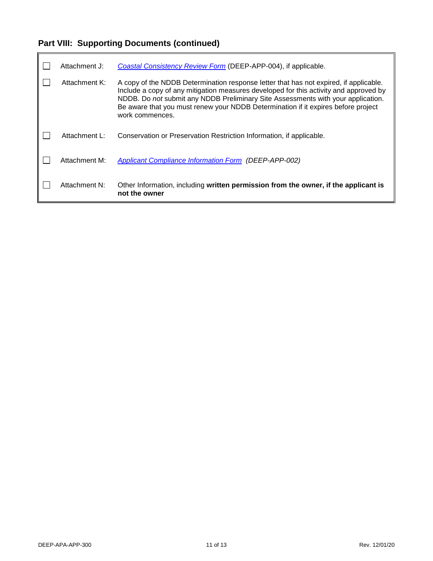# **Part VIII: Supporting Documents (continued)**

ı.

| Attachment J: | Coastal Consistency Review Form (DEEP-APP-004), if applicable.                                                                                                                                                                                                                                                                                                             |
|---------------|----------------------------------------------------------------------------------------------------------------------------------------------------------------------------------------------------------------------------------------------------------------------------------------------------------------------------------------------------------------------------|
| Attachment K: | A copy of the NDDB Determination response letter that has not expired, if applicable.<br>Include a copy of any mitigation measures developed for this activity and approved by<br>NDDB. Do not submit any NDDB Preliminary Site Assessments with your application.<br>Be aware that you must renew your NDDB Determination if it expires before project<br>work commences. |
| Attachment L: | Conservation or Preservation Restriction Information, if applicable.                                                                                                                                                                                                                                                                                                       |
| Attachment M: | <b>Applicant Compliance Information Form (DEEP-APP-002)</b>                                                                                                                                                                                                                                                                                                                |
| Attachment N: | Other Information, including written permission from the owner, if the applicant is<br>not the owner                                                                                                                                                                                                                                                                       |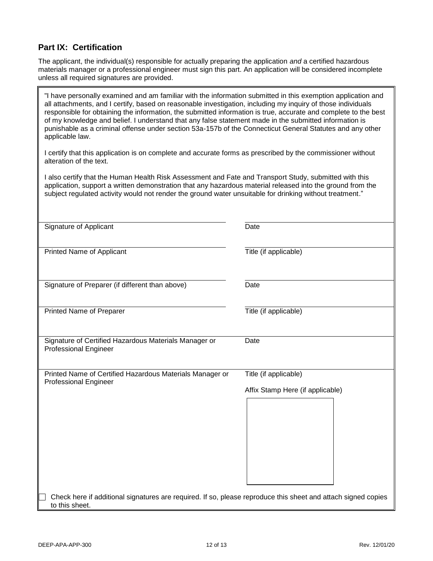#### **Part IX: Certification**

The applicant, the individual(s) responsible for actually preparing the application *and* a certified hazardous materials manager or a professional engineer must sign this part. An application will be considered incomplete unless all required signatures are provided.

"I have personally examined and am familiar with the information submitted in this exemption application and all attachments, and I certify, based on reasonable investigation, including my inquiry of those individuals responsible for obtaining the information, the submitted information is true, accurate and complete to the best of my knowledge and belief. I understand that any false statement made in the submitted information is punishable as a criminal offense under section 53a-157b of the Connecticut General Statutes and any other applicable law.

I certify that this application is on complete and accurate forms as prescribed by the commissioner without alteration of the text.

I also certify that the Human Health Risk Assessment and Fate and Transport Study, submitted with this application, support a written demonstration that any hazardous material released into the ground from the subject regulated activity would not render the ground water unsuitable for drinking without treatment."

| Signature of Applicant                                                                                                          | Date                                                      |
|---------------------------------------------------------------------------------------------------------------------------------|-----------------------------------------------------------|
| Printed Name of Applicant                                                                                                       | Title (if applicable)                                     |
| Signature of Preparer (if different than above)                                                                                 | Date                                                      |
| Printed Name of Preparer                                                                                                        | Title (if applicable)                                     |
| Signature of Certified Hazardous Materials Manager or<br><b>Professional Engineer</b>                                           | Date                                                      |
| Printed Name of Certified Hazardous Materials Manager or<br><b>Professional Engineer</b>                                        | Title (if applicable)<br>Affix Stamp Here (if applicable) |
| Check here if additional signatures are required. If so, please reproduce this sheet and attach signed copies<br>to this sheet. |                                                           |